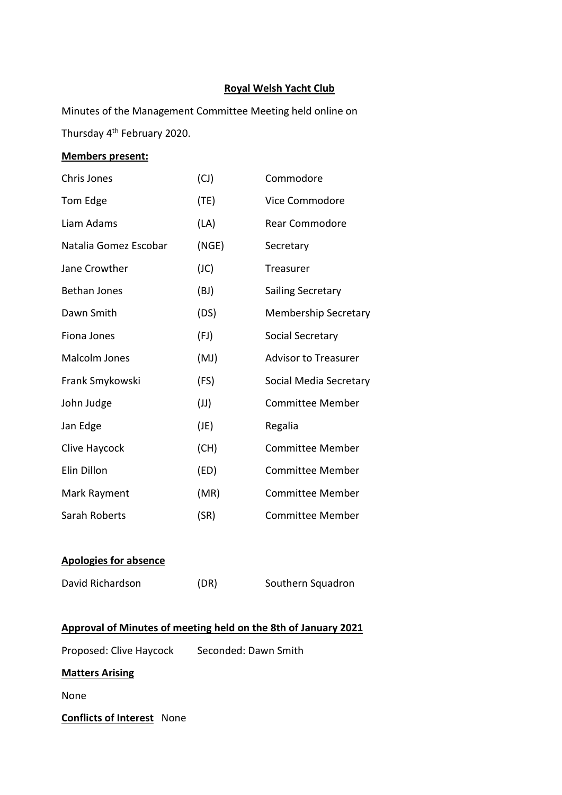## **Royal Welsh Yacht Club**

Minutes of the Management Committee Meeting held online on Thursday 4th February 2020.

# **Members present:**

| Chris Jones           | (CJ)  | Commodore                   |
|-----------------------|-------|-----------------------------|
| Tom Edge              | (TE)  | Vice Commodore              |
| Liam Adams            | (LA)  | <b>Rear Commodore</b>       |
| Natalia Gomez Escobar | (NGE) | Secretary                   |
| Jane Crowther         | (JC)  | Treasurer                   |
| <b>Bethan Jones</b>   | (BJ)  | Sailing Secretary           |
| Dawn Smith            | (DS)  | <b>Membership Secretary</b> |
| Fiona Jones           | (FJ)  | Social Secretary            |
| Malcolm Jones         | (MJ)  | <b>Advisor to Treasurer</b> |
| Frank Smykowski       | (FS)  | Social Media Secretary      |
| John Judge            | (U)   | <b>Committee Member</b>     |
| Jan Edge              | (JE)  | Regalia                     |
| Clive Haycock         | (CH)  | <b>Committee Member</b>     |
| Elin Dillon           | (ED)  | <b>Committee Member</b>     |
| Mark Rayment          | (MR)  | <b>Committee Member</b>     |
| Sarah Roberts         | (SR)  | <b>Committee Member</b>     |
|                       |       |                             |

### **Apologies for absence**

David Richardson (DR) Southern Squadron

# **Approval of Minutes of meeting held on the 8th of January 2021**

Proposed: Clive Haycock Seconded: Dawn Smith

### **Matters Arising**

None

**Conflicts of Interest** None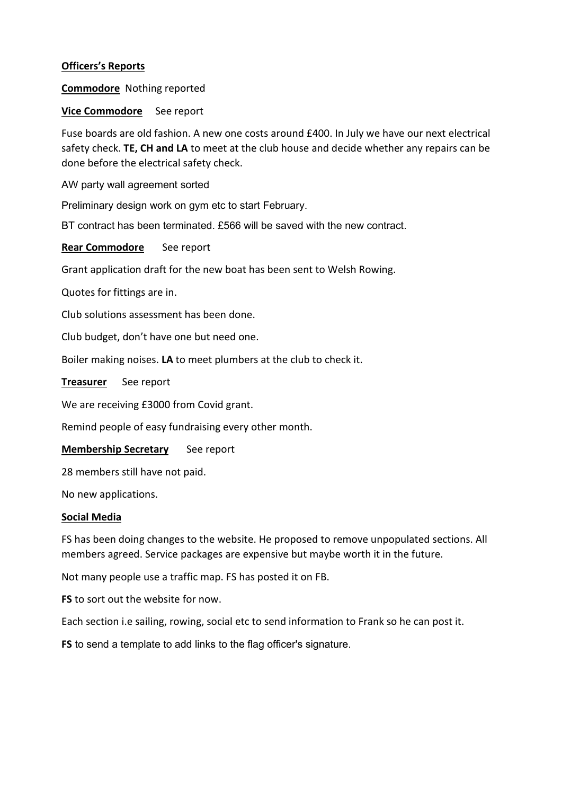## **Officers's Reports**

**Commodore** Nothing reported

**Vice Commodore** See report

Fuse boards are old fashion. A new one costs around £400. In July we have our next electrical safety check. **TE, CH and LA** to meet at the club house and decide whether any repairs can be done before the electrical safety check.

AW party wall agreement sorted

Preliminary design work on gym etc to start February.

BT contract has been terminated. £566 will be saved with the new contract.

**Rear Commodore** See report

Grant application draft for the new boat has been sent to Welsh Rowing.

Quotes for fittings are in.

Club solutions assessment has been done.

Club budget, don't have one but need one.

Boiler making noises. **LA** to meet plumbers at the club to check it.

**Treasurer** See report

We are receiving £3000 from Covid grant.

Remind people of easy fundraising every other month.

### **Membership Secretary** See report

28 members still have not paid.

No new applications.

### **Social Media**

FS has been doing changes to the website. He proposed to remove unpopulated sections. All members agreed. Service packages are expensive but maybe worth it in the future.

Not many people use a traffic map. FS has posted it on FB.

**FS** to sort out the website for now.

Each section i.e sailing, rowing, social etc to send information to Frank so he can post it.

**FS** to send a template to add links to the flag officer's signature.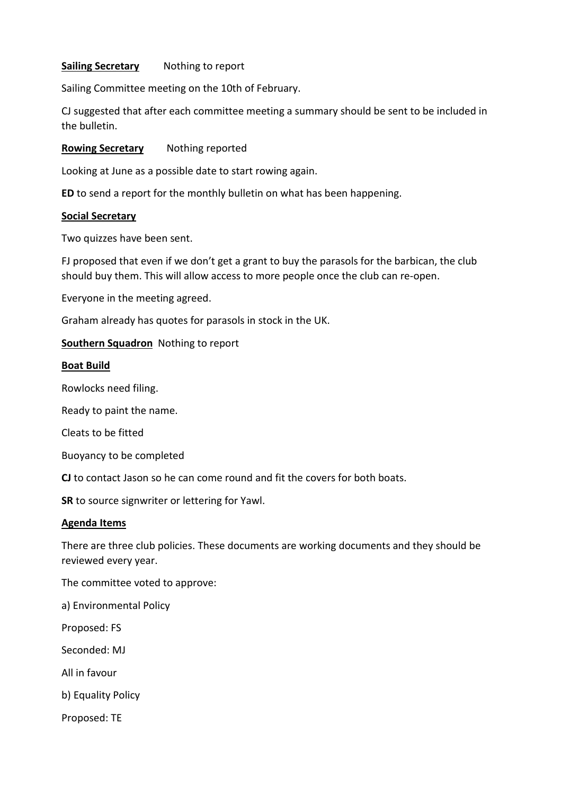### **Sailing Secretary** Nothing to report

Sailing Committee meeting on the 10th of February.

CJ suggested that after each committee meeting a summary should be sent to be included in the bulletin.

**Rowing Secretary** Nothing reported

Looking at June as a possible date to start rowing again.

**ED** to send a report for the monthly bulletin on what has been happening.

#### **Social Secretary**

Two quizzes have been sent.

FJ proposed that even if we don't get a grant to buy the parasols for the barbican, the club should buy them. This will allow access to more people once the club can re-open.

Everyone in the meeting agreed.

Graham already has quotes for parasols in stock in the UK.

### **Southern Squadron** Nothing to report

#### **Boat Build**

Rowlocks need filing.

Ready to paint the name.

Cleats to be fitted

Buoyancy to be completed

**CJ** to contact Jason so he can come round and fit the covers for both boats.

**SR** to source signwriter or lettering for Yawl.

### **Agenda Items**

There are three club policies. These documents are working documents and they should be reviewed every year.

The committee voted to approve:

a) Environmental Policy

Proposed: FS

Seconded: MJ

All in favour

b) Equality Policy

Proposed: TE